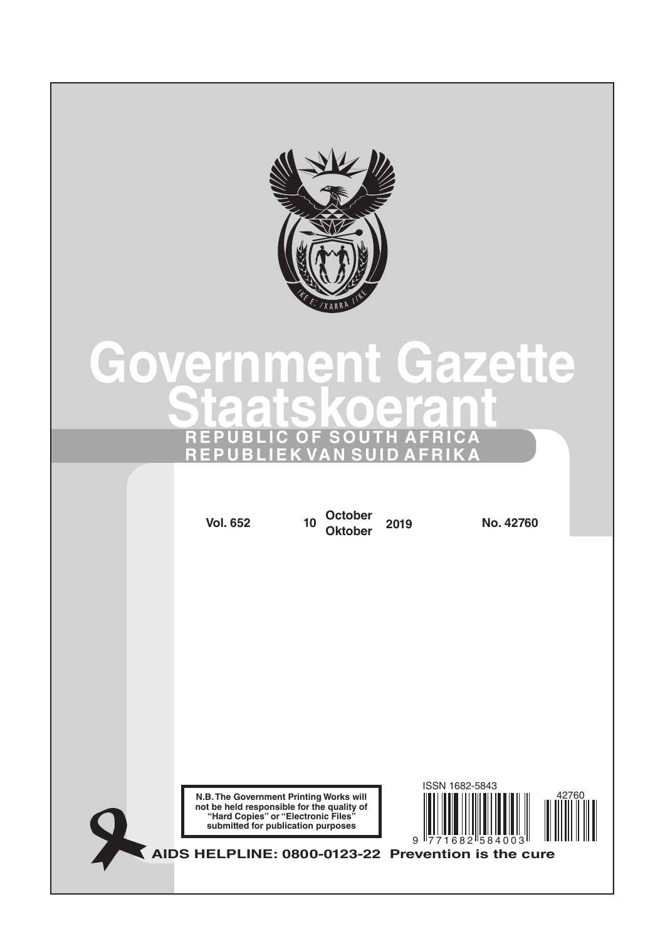

# **Government Gazette Staatskoerant REPUBLIC OF SOUTH AFRICA REPUBLIEK VAN SUID AFRIKA**

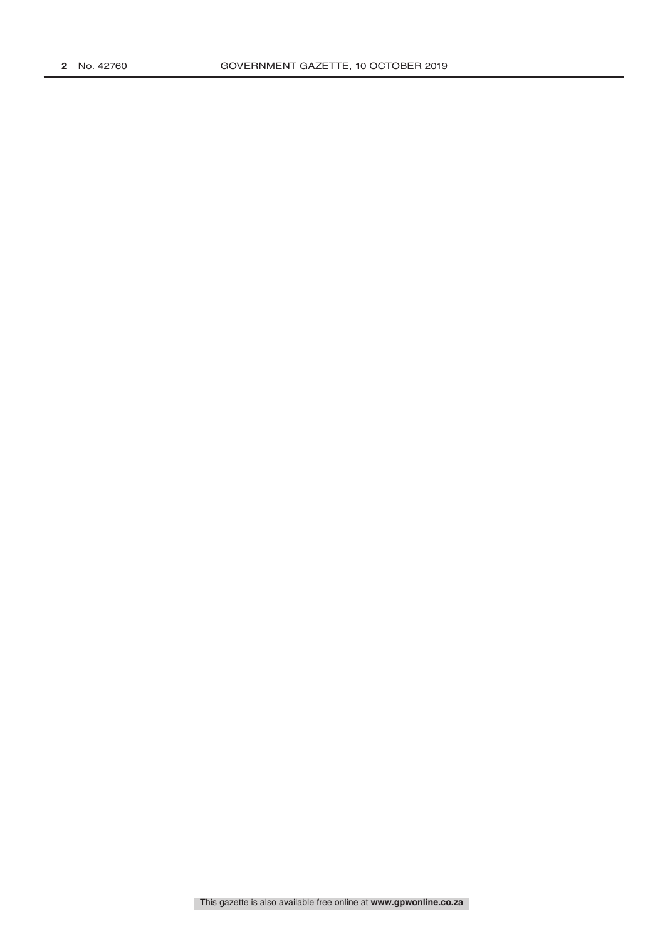This gazette is also available free online at **www.gpwonline.co.za**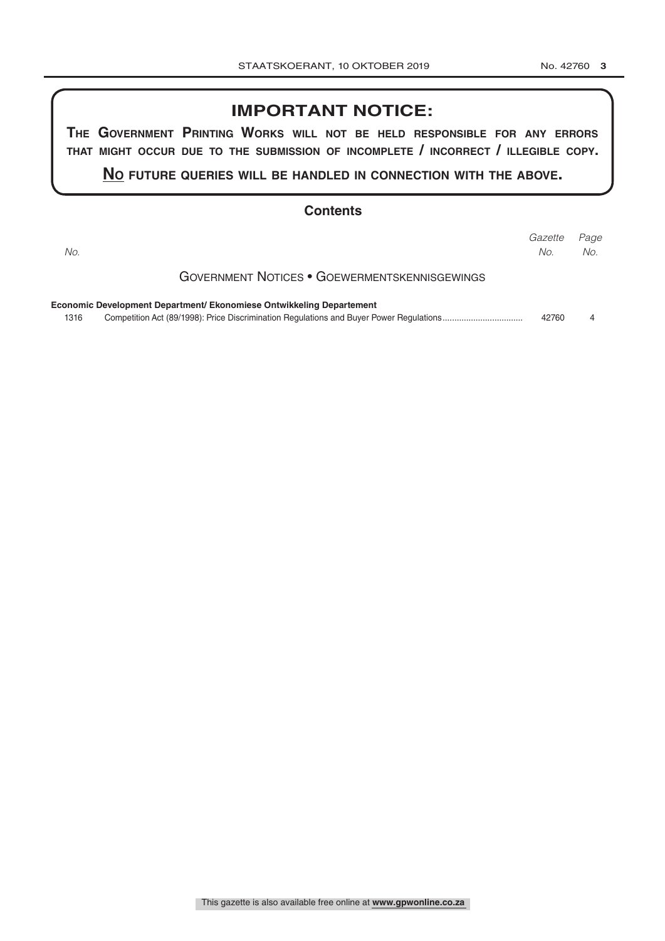# **IMPORTANT NOTICE:**

**The GovernmenT PrinTinG Works Will noT be held resPonsible for any errors ThaT miGhT occur due To The submission of incomPleTe / incorrecT / illeGible coPy.**

**no fuTure queries Will be handled in connecTion WiTh The above.**

### **Contents**

| No.  |                                                                      | Gazette<br>No. | Page<br>No. |
|------|----------------------------------------------------------------------|----------------|-------------|
|      | <b>GOVERNMENT NOTICES • GOEWERMENTSKENNISGEWINGS</b>                 |                |             |
| 1316 | Economic Development Department/ Ekonomiese Ontwikkeling Departement | 42760          | 4           |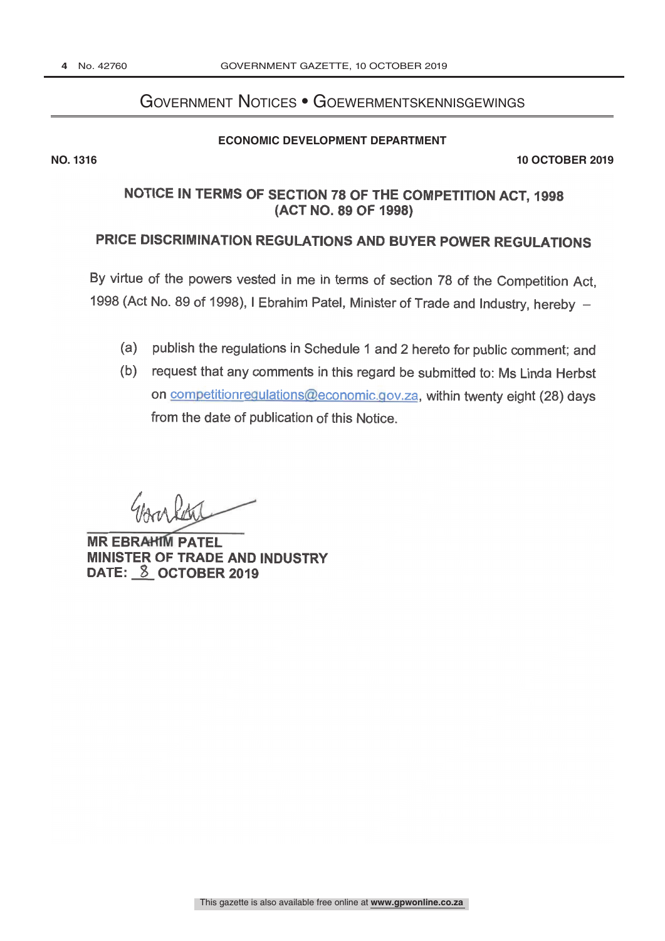# Government Notices • Goewermentskennisgewings

#### **ECONOMIC DEVELOPMENT DEPARTMENT**

**NO. 1316** 10 OCTOBER 2019

# NOTICE IN TERMS OF SECTION 78 OF THE COMPETITION ACT, 1998 (ACT NO. 89 OF 1998)

# PRICE DISCRIMINATION REGULATIONS AND BUYER POWER REGULATIONS

By virtue of the powers vested in me in terms of section 78 of the Competition Act, 1998 (Act No. 89 of 1998), I Ebrahim Patel, Minister of Trade and Industry, hereby

- (a) publish the regulations in Schedule 1 and 2 hereto for public comment; and
- on <u>competitionregulations@economic.gov.za,</u> within twenty eight (28) days (b) request that any comments in this regard be submitted to: Ms Linda Herbst from the date of publication of this Notice.

AN LEAT **MR EBRAHIM PATEL** MINISTER OF TRADE AND INDUSTRY DATE:  $\textdegree$  OCTOBER 2019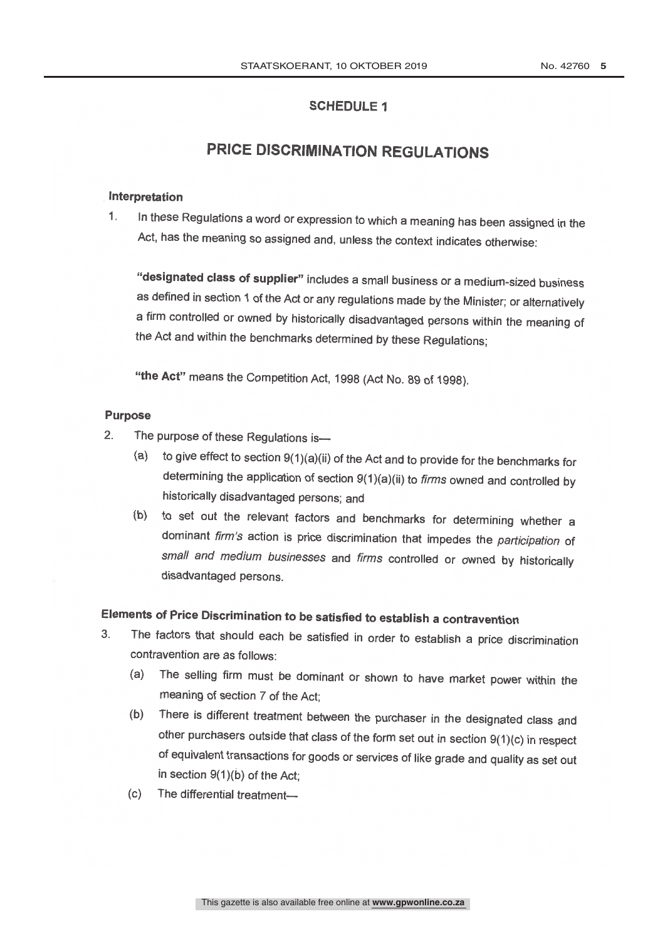## **SCHEDULE 1**

# **PRICE DISCRIMINATION REGULATIONS**

#### Interpretation

1. In these Regulations a word or expression to which a meaning has been assigned in the Act, has the meaning so assigned and, unless the context indicates otherwise:

"designated class of supplier" includes a small business or a medium -sized business as defined in section 1 of the Act or any regulations made by the Minister; or alternatively a firm controlled or owned by historically disadvantaged persons within the meaning of the Act and within the benchmarks determined by these Regulations;

"the Act" means the Competition Act, 1998 (Act No. 89 of 1998).

#### Purpose

- 2. The purpose of these Regulations is-
	- (a) to give effect to section 9(1)(a)(ii) of the Act and to provide for the benchmarks for determining the application of section 9(1)(a)(ii) to firms owned and controlled by historically disadvantaged persons; and
	- (b) to set out the relevant factors and benchmarks for determining whether a dominant firm's action is price discrimination that impedes the participation of small and medium businesses and firms controlled or owned by historically disadvantaged persons.

# Elements of Price Discrimination to be satisfied to establish a contravention<br>3. The factors that should each be opticied in ander to articlar was used

- 3. The factors that should each be satisfied in order to establish a price discrimination contravention are as follows:
	- (a) The selling firm must be dominant or shown to have market power within the meaning of section 7 of the Act;
	- (b) There is different treatment between the purchaser in the designated class and other purchasers outside that class of the form set out in section 9(1)(c) in respect of equivalent transactions for goods or services of like grade and quality as set out in section 9(1)(b) of the Act;
	- (c) The differential treatment-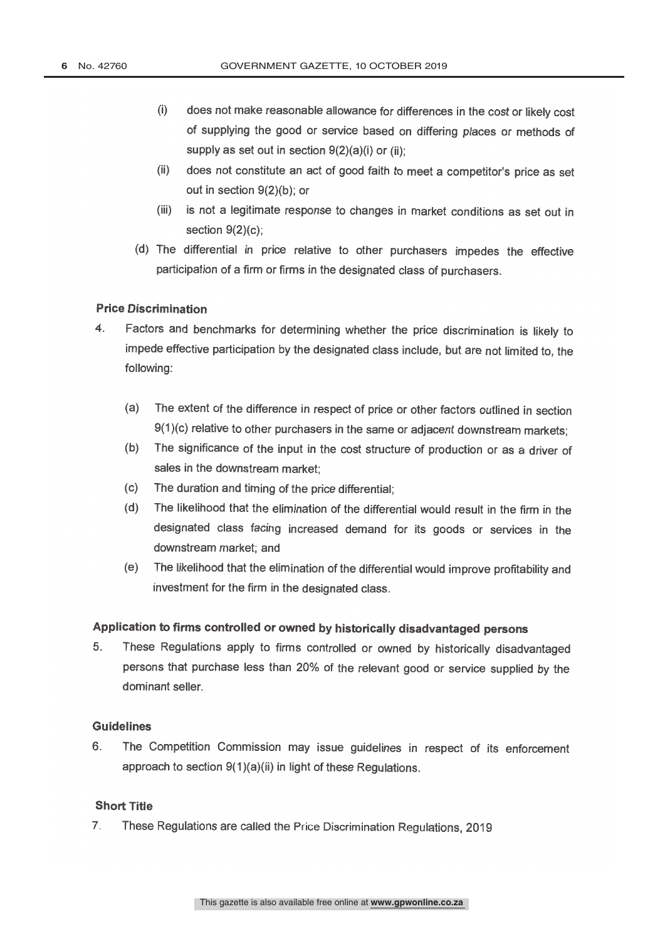- (i) does not make reasonable allowance for differences in the cost or likely cost of supplying the good or service based on differing places or methods of supply as set out in section  $9(2)(a)(i)$  or (ii);
- (ii) does not constitute an act of good faith to meet a competitor's price as set out in section 9(2)(b); or
- (iii) is not a legitimate response to changes in market conditions as set out in section  $9(2)(c)$ :
- (d) The differential in price relative to other purchasers impedes the effective participation of a firm or firms in the designated class of purchasers.

### Price Discrimination

- 4. Factors and benchmarks for determining whether the price discrimination is likely to impede effective participation by the designated class include, but are not limited to, the following:
	- (a) The extent of the difference in respect of price or other factors outlined in section 9(1)(c) relative to other purchasers in the same or adjacent downstream markets;
	- (b) The significance of the input in the cost structure of production or as a driver of sales in the downstream market;
	- (c) The duration and timing of the price differential;
	- (d) The likelihood that the elimination of the differential would result in the firm in the designated class facing increased demand for its goods or services in the downstream market; and
	- (e) The likelihood that the elimination of the differential would improve profitability and investment for the firm in the designated class.

## Application to firms controlled or owned by historically disadvantaged persons

5. These Regulations apply to firms controlled or owned by historically disadvantaged persons that purchase less than 20% of the relevant good or service supplied by the dominant seller

#### **Guidelines**

6. The Competition Commission may issue guidelines in respect of its enforcement approach to section 9(1)(a)(ii) in light of these Regulations.

#### Short Title

 $7<sub>1</sub>$ These Regulations are called the Price Discrimination Regulations, 2019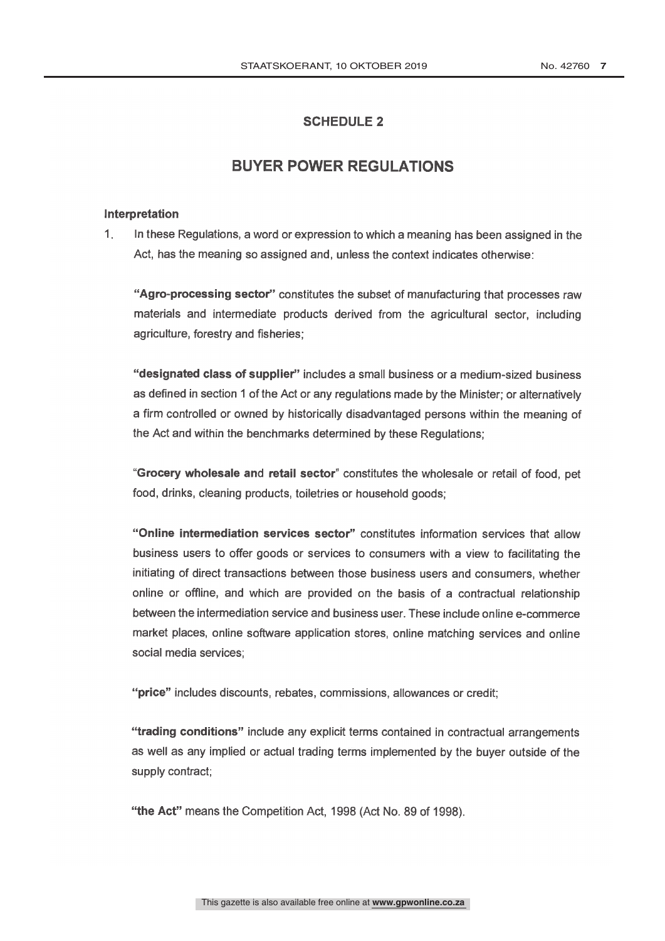## **SCHEDULE 2**

# **BUYER POWER REGULATIONS**

#### Interpretation

1. In these Regulations, a word or expression to which a meaning has been assigned in the Act, has the meaning so assigned and, unless the context indicates otherwise:

"Agro-processing sector" constitutes the subset of manufacturing that processes raw materials and intermediate products derived from the agricultural sector, including agriculture, forestry and fisheries;

"designated class of supplier" includes a small business or a medium -sized business as defined in section 1 of the Act or any regulations made by the Minister; or alternatively a firm controlled or owned by historically disadvantaged persons within the meaning of the Act and within the benchmarks determined by these Regulations;

"Grocery wholesale and retail sector" constitutes the wholesale or retail of food, pet food, drinks, cleaning products, toiletries or household goods;

"Online intermediation services sector" constitutes information services that allow business users to offer goods or services to consumers with a view to facilitating the initiating of direct transactions between those business users and consumers, whether online or offline, and which are provided on the basis of a contractual relationship between the intermediation service and business user. These include online e- commerce market places, online software application stores, online matching services and online social media services;

"price" includes discounts, rebates, commissions, allowances or credit;

"trading conditions" include any explicit terms contained in contractual arrangements as well as any implied or actual trading terms implemented by the buyer outside of the supply contract;

"the Act" means the Competition Act, 1998 (Act No. 89 of 1998).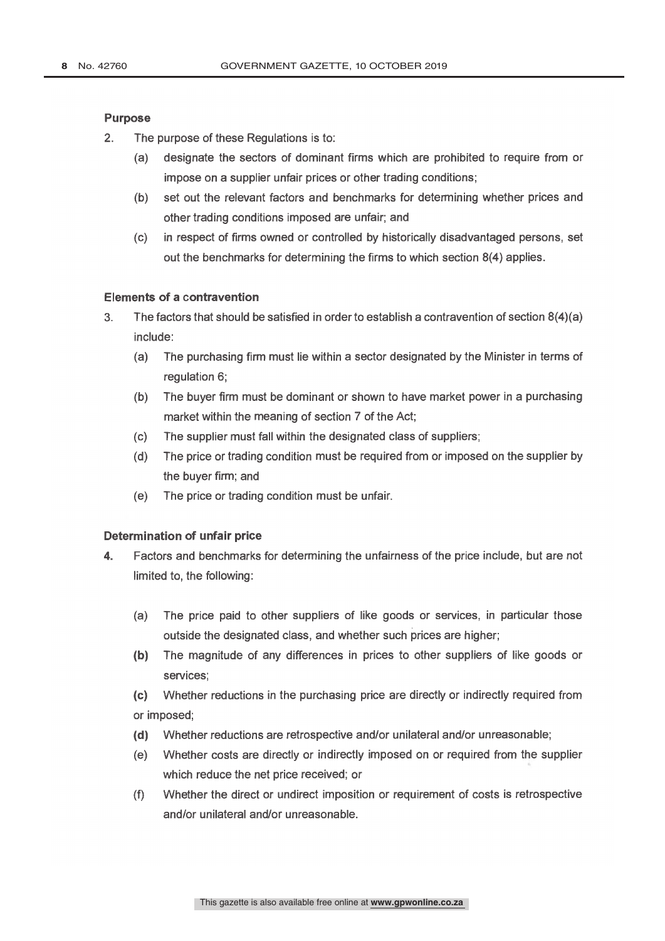#### **Purpose**

- 2. The purpose of these Regulations is to:
	- (a) designate the sectors of dominant firms which are prohibited to require from or impose on a supplier unfair prices or other trading conditions;
	- (b) set out the relevant factors and benchmarks for determining whether prices and other trading conditions imposed are unfair; and
	- (c) in respect of firms owned or controlled by historically disadvantaged persons, set out the benchmarks for determining the firms to which section 8(4) applies.

#### Elements of a contravention

- 3. The factors that should be satisfied in order to establish a contravention of section 8(4)(a) include:
	- (a) The purchasing firm must lie within a sector designated by the Minister in terms of regulation 6;
	- (b) The buyer firm must be dominant or shown to have market power in a purchasing market within the meaning of section 7 of the Act;
	- (c) The supplier must fall within the designated class of suppliers;
	- (d) The price or trading condition must be required from or imposed on the supplier by the buyer firm; and
	- (e) The price or trading condition must be unfair

#### Determination of unfair price

- 4. Factors and benchmarks for determining the unfairness of the price include, but are not limited to, the following:
	- (a) The price paid to other suppliers of like goods or services, in particular those outside the designated class, and whether such prices are higher;
	- (b) The magnitude of any differences in prices to other suppliers of like goods or services;
	- (c) Whether reductions in the purchasing price are directly or indirectly required from or imposed;
	- (d) Whether reductions are retrospective and/or unilateral and/or unreasonable;
	- (e) Whether costs are directly or indirectly imposed on or required from the supplier which reduce the net price received; or
	- (f) Whether the direct or undirect imposition or requirement of costs is retrospective and/or unilateral and/or unreasonable.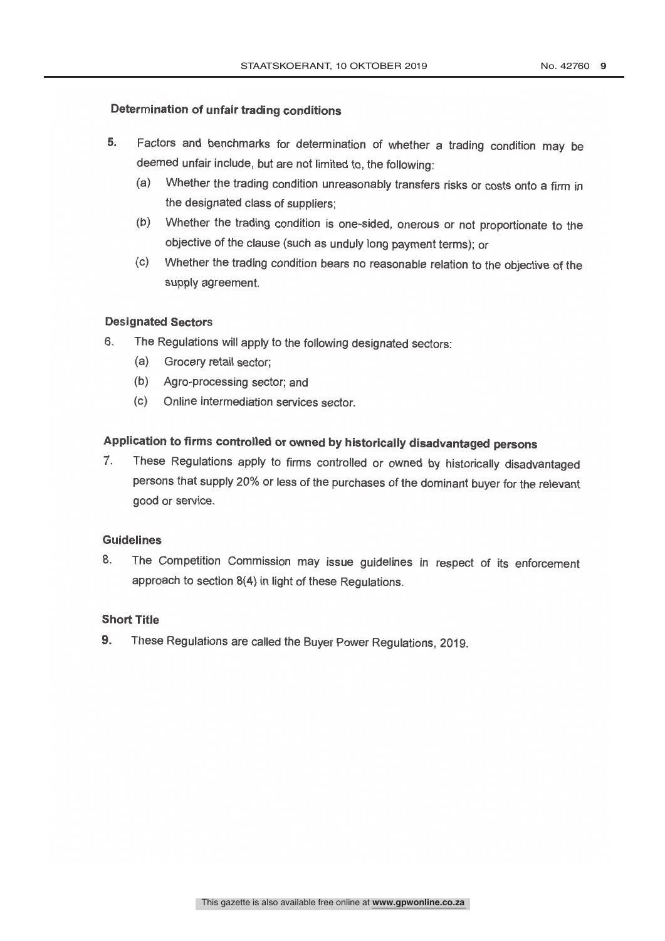### Determination of unfair trading conditions

- 5. Factors and benchmarks for determination of whether a trading condition may be deemed unfair include, but are not limited to, the following:
	- (a) Whether the trading condition unreasonably transfers risks or costs onto a firm in the designated class of suppliers;
	- (b) Whether the trading condition is one -sided, onerous or not proportionate to the objective of the clause (such as unduly long payment terms); or
	- (c) Whether the trading condition bears no reasonable relation to the objective of the supply agreement.

## Designated Sectors

- 6. The Regulations will apply to the following designated sectors:
	- (a) Grocery retail sector;
	- (b) Agro-processing sector; and
	- (c) Online intermediation services sector.

## Application to firms controlled or owned by historically disadvantaged persons

7. These Regulations apply to firms controlled or owned by historically disadvantaged persons that supply 20% or less of the purchases of the dominant buyer for the relevant good or service.

### Guidelines

8. The Competition Commission may issue guidelines in respect of its enforcement approach to section 8(4) in light of these Regulations.

## Short Title

9. These Regulations are called the Buyer Power Regulations, 2019.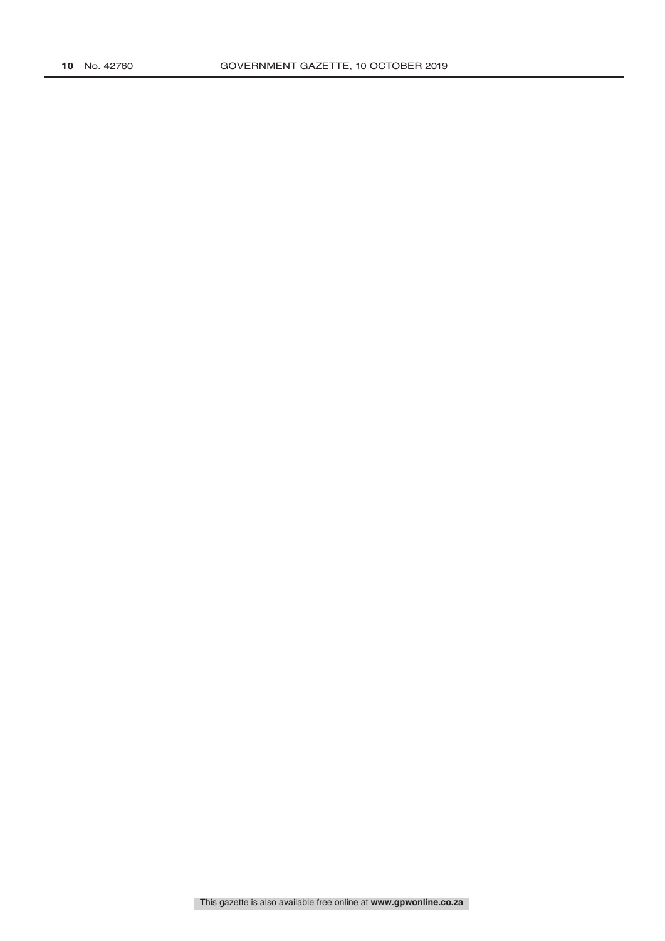This gazette is also available free online at **www.gpwonline.co.za**